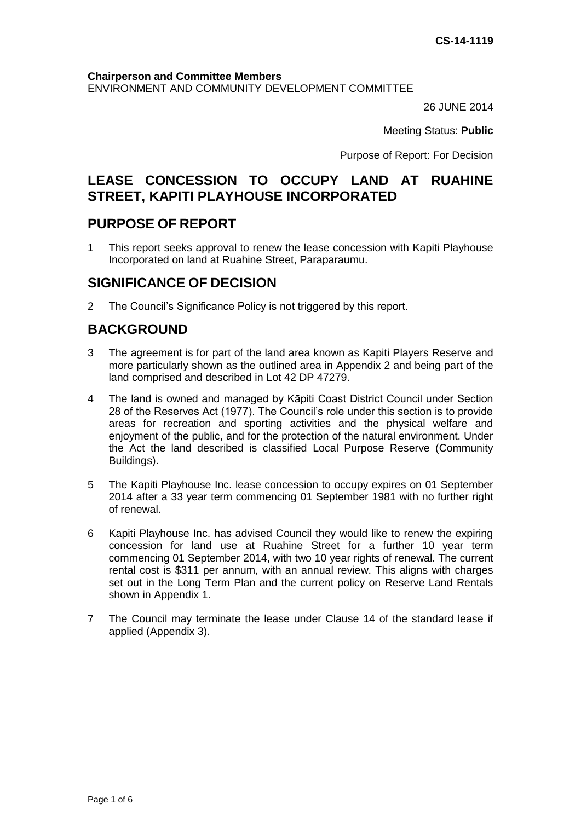#### **Chairperson and Committee Members**

ENVIRONMENT AND COMMUNITY DEVELOPMENT COMMITTEE

26 JUNE 2014

Meeting Status: **Public**

Purpose of Report: For Decision

# **LEASE CONCESSION TO OCCUPY LAND AT RUAHINE STREET, KAPITI PLAYHOUSE INCORPORATED**

## **PURPOSE OF REPORT**

1 This report seeks approval to renew the lease concession with Kapiti Playhouse Incorporated on land at Ruahine Street, Paraparaumu.

## **SIGNIFICANCE OF DECISION**

2 The Council's Significance Policy is not triggered by this report.

# **BACKGROUND**

- 3 The agreement is for part of the land area known as Kapiti Players Reserve and more particularly shown as the outlined area in Appendix 2 and being part of the land comprised and described in Lot 42 DP 47279.
- 4 The land is owned and managed by Kāpiti Coast District Council under Section 28 of the Reserves Act (1977). The Council's role under this section is to provide areas for recreation and sporting activities and the physical welfare and enjoyment of the public, and for the protection of the natural environment. Under the Act the land described is classified Local Purpose Reserve (Community Buildings).
- 5 The Kapiti Playhouse Inc. lease concession to occupy expires on 01 September 2014 after a 33 year term commencing 01 September 1981 with no further right of renewal.
- 6 Kapiti Playhouse Inc. has advised Council they would like to renew the expiring concession for land use at Ruahine Street for a further 10 year term commencing 01 September 2014, with two 10 year rights of renewal. The current rental cost is \$311 per annum, with an annual review. This aligns with charges set out in the Long Term Plan and the current policy on Reserve Land Rentals shown in Appendix 1.
- 7 The Council may terminate the lease under Clause 14 of the standard lease if applied (Appendix 3).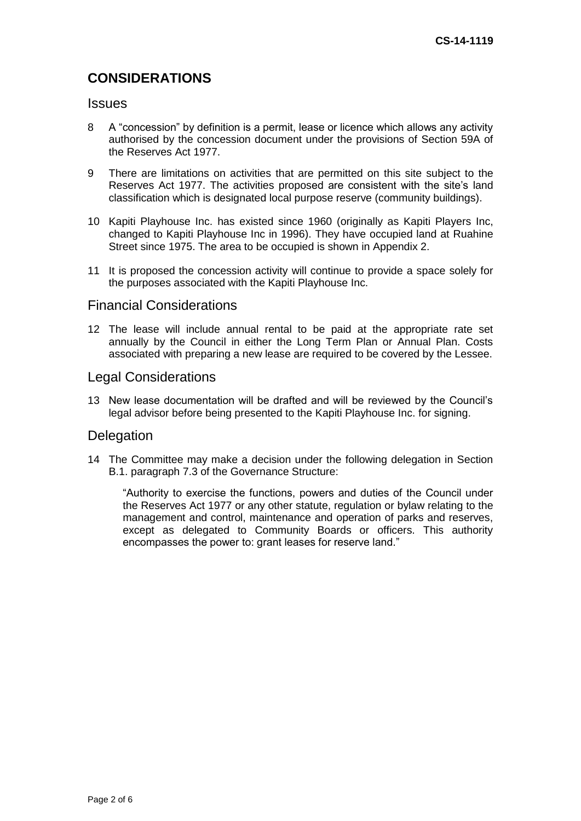# **CONSIDERATIONS**

### **Issues**

- 8 A "concession" by definition is a permit, lease or licence which allows any activity authorised by the concession document under the provisions of Section 59A of the Reserves Act 1977.
- 9 There are limitations on activities that are permitted on this site subject to the Reserves Act 1977. The activities proposed are consistent with the site's land classification which is designated local purpose reserve (community buildings).
- 10 Kapiti Playhouse Inc. has existed since 1960 (originally as Kapiti Players Inc, changed to Kapiti Playhouse Inc in 1996). They have occupied land at Ruahine Street since 1975. The area to be occupied is shown in Appendix 2.
- 11 It is proposed the concession activity will continue to provide a space solely for the purposes associated with the Kapiti Playhouse Inc.

### Financial Considerations

12 The lease will include annual rental to be paid at the appropriate rate set annually by the Council in either the Long Term Plan or Annual Plan. Costs associated with preparing a new lease are required to be covered by the Lessee.

### Legal Considerations

13 New lease documentation will be drafted and will be reviewed by the Council's legal advisor before being presented to the Kapiti Playhouse Inc. for signing.

### **Delegation**

14 The Committee may make a decision under the following delegation in Section B.1. paragraph 7.3 of the Governance Structure:

"Authority to exercise the functions, powers and duties of the Council under the Reserves Act 1977 or any other statute, regulation or bylaw relating to the management and control, maintenance and operation of parks and reserves, except as delegated to Community Boards or officers. This authority encompasses the power to: grant leases for reserve land."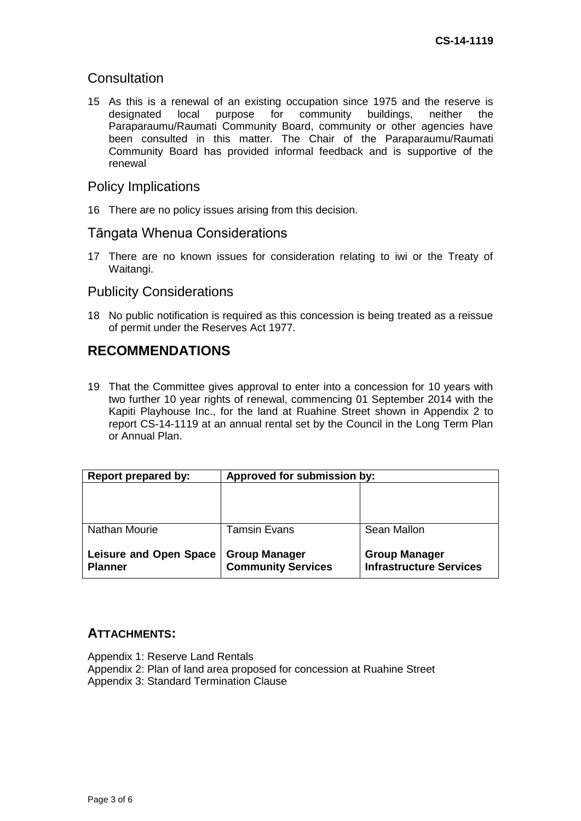## **Consultation**

15 As this is a renewal of an existing occupation since 1975 and the reserve is designated local purpose for community buildings, neither the designated local purpose for community buildings, neither the Paraparaumu/Raumati Community Board, community or other agencies have been consulted in this matter. The Chair of the Paraparaumu/Raumati Community Board has provided informal feedback and is supportive of the renewal

### Policy Implications

16 There are no policy issues arising from this decision.

### Tāngata Whenua Considerations

17 There are no known issues for consideration relating to iwi or the Treaty of Waitangi.

### Publicity Considerations

18 No public notification is required as this concession is being treated as a reissue of permit under the Reserves Act 1977.

# **RECOMMENDATIONS**

19 That the Committee gives approval to enter into a concession for 10 years with two further 10 year rights of renewal, commencing 01 September 2014 with the Kapiti Playhouse Inc., for the land at Ruahine Street shown in Appendix 2 to report CS-14-1119 at an annual rental set by the Council in the Long Term Plan or Annual Plan.

| <b>Report prepared by:</b>    | Approved for submission by: |                                |
|-------------------------------|-----------------------------|--------------------------------|
|                               |                             |                                |
|                               |                             |                                |
|                               |                             |                                |
| <b>Nathan Mourie</b>          | <b>Tamsin Evans</b>         | Sean Mallon                    |
|                               |                             |                                |
| <b>Leisure and Open Space</b> | <b>Group Manager</b>        | <b>Group Manager</b>           |
| <b>Planner</b>                | <b>Community Services</b>   | <b>Infrastructure Services</b> |

### **ATTACHMENTS:**

Appendix 1: Reserve Land Rentals Appendix 2: Plan of land area proposed for concession at Ruahine Street Appendix 3: Standard Termination Clause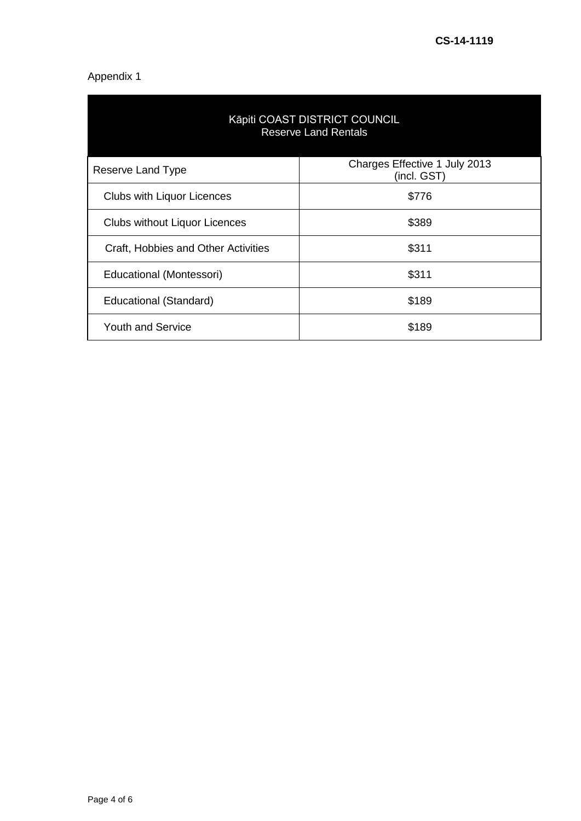## Appendix 1

| Kāpiti COAST DISTRICT COUNCIL<br><b>Reserve Land Rentals</b> |                                              |  |
|--------------------------------------------------------------|----------------------------------------------|--|
| Reserve Land Type                                            | Charges Effective 1 July 2013<br>(incl. GST) |  |
| <b>Clubs with Liquor Licences</b>                            | \$776                                        |  |
| <b>Clubs without Liquor Licences</b>                         | \$389                                        |  |
| Craft, Hobbies and Other Activities                          | \$311                                        |  |
| Educational (Montessori)                                     | \$311                                        |  |
| Educational (Standard)                                       | \$189                                        |  |
| <b>Youth and Service</b>                                     | \$189                                        |  |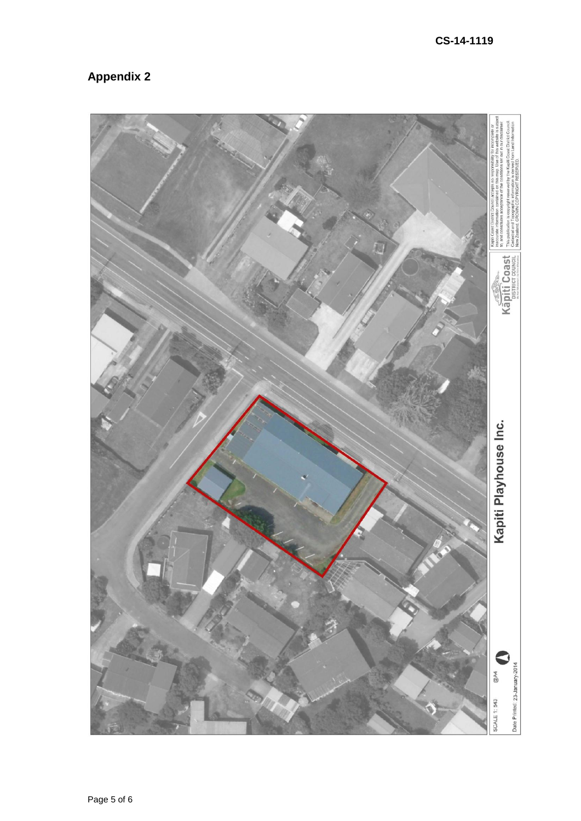